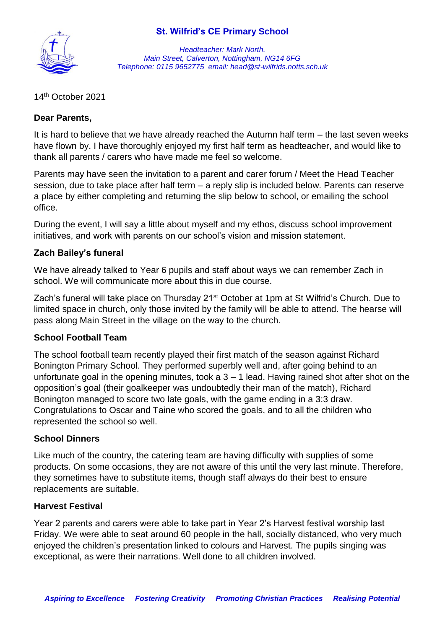## **St. Wilfrid's CE Primary School**



*Headteacher: Mark North. Main Street, Calverton, Nottingham, NG14 6FG Telephone: 0115 9652775 email: head@st-wilfrids.notts.sch.uk*

14th October 2021

#### **Dear Parents,**

It is hard to believe that we have already reached the Autumn half term – the last seven weeks have flown by. I have thoroughly enjoyed my first half term as headteacher, and would like to thank all parents / carers who have made me feel so welcome.

Parents may have seen the invitation to a parent and carer forum / Meet the Head Teacher session, due to take place after half term – a reply slip is included below. Parents can reserve a place by either completing and returning the slip below to school, or emailing the school office.

During the event, I will say a little about myself and my ethos, discuss school improvement initiatives, and work with parents on our school's vision and mission statement.

### **Zach Bailey's funeral**

We have already talked to Year 6 pupils and staff about ways we can remember Zach in school. We will communicate more about this in due course.

Zach's funeral will take place on Thursday 21<sup>st</sup> October at 1pm at St Wilfrid's Church. Due to limited space in church, only those invited by the family will be able to attend. The hearse will pass along Main Street in the village on the way to the church.

#### **School Football Team**

The school football team recently played their first match of the season against Richard Bonington Primary School. They performed superbly well and, after going behind to an unfortunate goal in the opening minutes, took  $a$  3 – 1 lead. Having rained shot after shot on the opposition's goal (their goalkeeper was undoubtedly their man of the match), Richard Bonington managed to score two late goals, with the game ending in a 3:3 draw. Congratulations to Oscar and Taine who scored the goals, and to all the children who represented the school so well.

#### **School Dinners**

Like much of the country, the catering team are having difficulty with supplies of some products. On some occasions, they are not aware of this until the very last minute. Therefore, they sometimes have to substitute items, though staff always do their best to ensure replacements are suitable.

#### **Harvest Festival**

Year 2 parents and carers were able to take part in Year 2's Harvest festival worship last Friday. We were able to seat around 60 people in the hall, socially distanced, who very much enjoyed the children's presentation linked to colours and Harvest. The pupils singing was exceptional, as were their narrations. Well done to all children involved.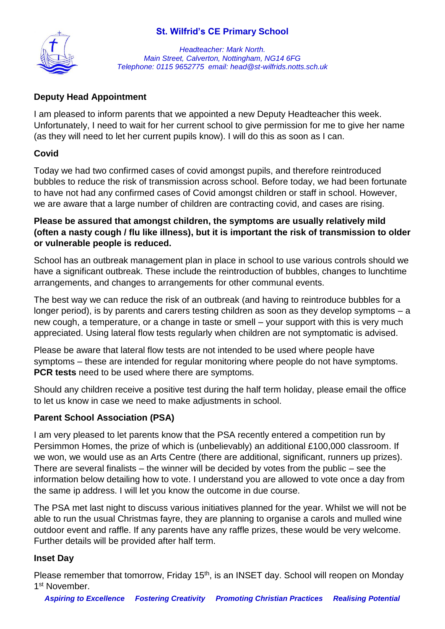# **St. Wilfrid's CE Primary School**



*Headteacher: Mark North. Main Street, Calverton, Nottingham, NG14 6FG Telephone: 0115 9652775 email: head@st-wilfrids.notts.sch.uk*

# **Deputy Head Appointment**

I am pleased to inform parents that we appointed a new Deputy Headteacher this week. Unfortunately, I need to wait for her current school to give permission for me to give her name (as they will need to let her current pupils know). I will do this as soon as I can.

# **Covid**

Today we had two confirmed cases of covid amongst pupils, and therefore reintroduced bubbles to reduce the risk of transmission across school. Before today, we had been fortunate to have not had any confirmed cases of Covid amongst children or staff in school. However, we are aware that a large number of children are contracting covid, and cases are rising.

# **Please be assured that amongst children, the symptoms are usually relatively mild (often a nasty cough / flu like illness), but it is important the risk of transmission to older or vulnerable people is reduced.**

School has an outbreak management plan in place in school to use various controls should we have a significant outbreak. These include the reintroduction of bubbles, changes to lunchtime arrangements, and changes to arrangements for other communal events.

The best way we can reduce the risk of an outbreak (and having to reintroduce bubbles for a longer period), is by parents and carers testing children as soon as they develop symptoms – a new cough, a temperature, or a change in taste or smell – your support with this is very much appreciated. Using lateral flow tests regularly when children are not symptomatic is advised.

Please be aware that lateral flow tests are not intended to be used where people have symptoms – these are intended for regular monitoring where people do not have symptoms. **PCR tests** need to be used where there are symptoms.

Should any children receive a positive test during the half term holiday, please email the office to let us know in case we need to make adjustments in school.

## **Parent School Association (PSA)**

I am very pleased to let parents know that the PSA recently entered a competition run by Persimmon Homes, the prize of which is (unbelievably) an additional £100,000 classroom. If we won, we would use as an Arts Centre (there are additional, significant, runners up prizes). There are several finalists – the winner will be decided by votes from the public – see the information below detailing how to vote. I understand you are allowed to vote once a day from the same ip address. I will let you know the outcome in due course.

The PSA met last night to discuss various initiatives planned for the year. Whilst we will not be able to run the usual Christmas fayre, they are planning to organise a carols and mulled wine outdoor event and raffle. If any parents have any raffle prizes, these would be very welcome. Further details will be provided after half term.

## **Inset Day**

Please remember that tomorrow, Friday 15<sup>th</sup>, is an INSET day. School will reopen on Monday 1<sup>st</sup> November.